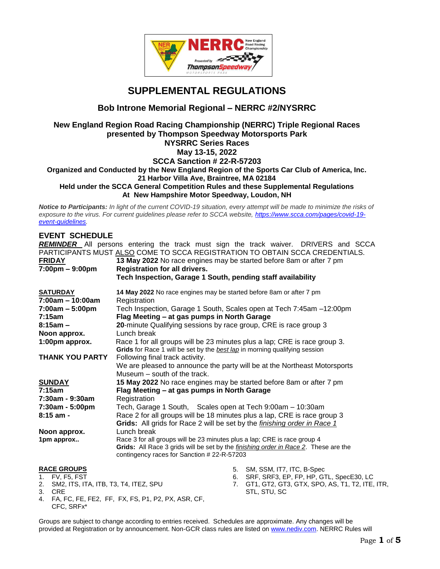

## **SUPPLEMENTAL REGULATIONS**

## **Bob Introne Memorial Regional – NERRC #2/NYSRRC**

#### **New England Region Road Racing Championship (NERRC) Triple Regional Races presented by Thompson Speedway Motorsports Park NYSRRC Series Races May 13-15, 2022 SCCA Sanction # 22-R-57203 Organized and Conducted by the New England Region of the Sports Car Club of America, Inc. 21 Harbor Villa Ave, Braintree, MA 02184 Held under the SCCA General Competition Rules and these Supplemental Regulations**

**At New Hampshire Motor Speedway, Loudon, NH** 

*Notice to Participants: In light of the current COVID-19 situation, every attempt will be made to minimize the risks of exposure to the virus. For current guidelines please refer to SCCA website, [https://www.scca.com/pages/covid-19](https://www.scca.com/pages/covid-19-event-guidelines) [event-guidelines.](https://www.scca.com/pages/covid-19-event-guidelines)* 

#### **EVENT SCHEDULE**

*REMINDER* All persons entering the track must sign the track waiver. DRIVERS and SCCA PARTICIPANTS MUST ALSO COME TO SCCA REGISTRATION TO OBTAIN SCCA CREDENTIALS.

| <b>FRIDAY</b>                     | 13 May 2022 No race engines may be started before 8am or after 7 pm                                                                                     |  |  |
|-----------------------------------|---------------------------------------------------------------------------------------------------------------------------------------------------------|--|--|
| $7:00 \text{pm} - 9:00 \text{pm}$ | <b>Registration for all drivers.</b>                                                                                                                    |  |  |
|                                   | Tech Inspection, Garage 1 South, pending staff availability                                                                                             |  |  |
| <b>SATURDAY</b>                   | 14 May 2022 No race engines may be started before 8am or after 7 pm                                                                                     |  |  |
| 7:00am - 10:00am                  | Registration                                                                                                                                            |  |  |
| $7:00am - 5:00pm$                 | Tech Inspection, Garage 1 South, Scales open at Tech 7:45am -12:00pm                                                                                    |  |  |
| 7:15am                            | Flag Meeting – at gas pumps in North Garage                                                                                                             |  |  |
| $8:15am -$                        | 20-minute Qualifying sessions by race group, CRE is race group 3                                                                                        |  |  |
| Noon approx.                      | Lunch break                                                                                                                                             |  |  |
| 1:00pm approx.                    | Race 1 for all groups will be 23 minutes plus a lap; CRE is race group 3.<br>Grids for Race 1 will be set by the best lap in morning qualifying session |  |  |
| <b>THANK YOU PARTY</b>            |                                                                                                                                                         |  |  |
|                                   | Following final track activity.                                                                                                                         |  |  |
|                                   | We are pleased to announce the party will be at the Northeast Motorsports                                                                               |  |  |
|                                   | Museum – south of the track.                                                                                                                            |  |  |
| <b>SUNDAY</b>                     | 15 May 2022 No race engines may be started before 8am or after 7 pm                                                                                     |  |  |
| 7:15am                            | Flag Meeting - at gas pumps in North Garage                                                                                                             |  |  |
| 7:30am - 9:30am                   | Registration                                                                                                                                            |  |  |
| 7:30am - 5:00pm                   | Tech, Garage 1 South, Scales open at Tech 9:00am - 10:30am                                                                                              |  |  |
| 8:15 am -                         | Race 2 for all groups will be 18 minutes plus a lap, CRE is race group 3                                                                                |  |  |
|                                   | Grids: All grids for Race 2 will be set by the finishing order in Race 1                                                                                |  |  |
| Noon approx.                      | Lunch break                                                                                                                                             |  |  |
| 1pm approx                        | Race 3 for all groups will be 23 minutes plus a lap; CRE is race group 4                                                                                |  |  |
|                                   | Grids: All Race 3 grids will be set by the <i>finishing order in Race 2</i> . These are the<br>contingency races for Sanction # 22-R-57203              |  |  |
|                                   |                                                                                                                                                         |  |  |
| <b>RACE GROUPS</b>                | 5. SM, SSM, IT7, ITC, B-Spec<br>SRF, SRF3, EP, FP, HP, GTL, SpecE30, LC                                                                                 |  |  |
| 1. FV, F5, FST                    | 6.                                                                                                                                                      |  |  |

7. GT1, GT2, GT3, GTX, SPO, AS, T1, T2, ITE, ITR, STL, STU, SC

4. FA, FC, FE, FE2, FF, FX, FS, P1, P2, PX, ASR, CF, CFC, SRFx\*

2. SM2, ITS, ITA, ITB, T3, T4, ITEZ, SPU

3. CRE

Groups are subject to change according to entries received. Schedules are approximate. Any changes will be provided at Registration or by announcement. Non-GCR class rules are listed on [www.nediv.com.](http://www.nediv.com/) NERRC Rules will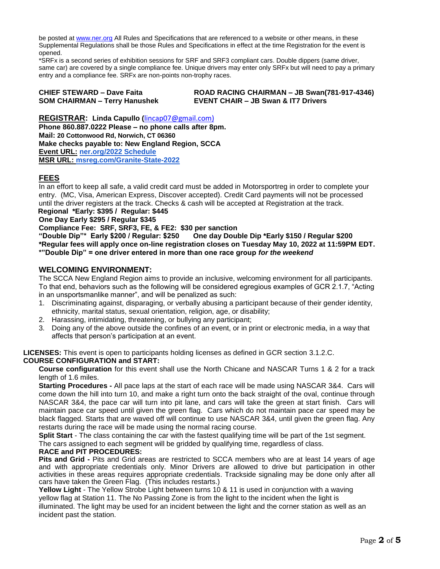be posted at [www.ner.org](http://www.ner.org/) All Rules and Specifications that are referenced to a website or other means, in these Supplemental Regulations shall be those Rules and Specifications in effect at the time Registration for the event is opened.

\*SRFx is a second series of exhibition sessions for SRF and SRF3 compliant cars. Double dippers (same driver, same car) are covered by a single compliance fee. Unique drivers may enter only SRFx but will need to pay a primary entry and a compliance fee. SRFx are non-points non-trophy races.

| <b>CHIEF STEWARD - Dave Faita</b>    | R) |
|--------------------------------------|----|
| <b>SOM CHAIRMAN - Terry Hanushek</b> | E١ |

**CHIEF STEWARD – Dave Faita ROAD RACING CHAIRMAN – JB Swan(781-917-4346) SOM CHAIRMAN – Terry Hanushek EVENT CHAIR – JB Swan & IT7 Drivers**

**REGISTRAR: Linda Capullo (**[lincap07@gmail.com\)](mailto:lincap07@gmail.com) **Phone 860.887.0222 Please – no phone calls after 8pm. Mail: 20 Cottonwood Rd, Norwich, CT 06360 Make checks payable to: New England Region, SCCA Event URL: [ner.org/2022 Schedule](https://ner.org/2022-nerrc-schedule/) MSR URL: [msreg.com/Granite-State-2022](https://www.motorsportreg.com/events/ner-granite-state-regional-nerrc-2-new-hampshire-motor-speedway-scca-416744)**

### **FEES**

In an effort to keep all safe, a valid credit card must be added in Motorsportreg in order to complete your entry. (MC, Visa, American Express, Discover accepted). Credit Card payments will not be processed until the driver registers at the track. Checks & cash will be accepted at Registration at the track.

**Regional \*Early: \$395 / Regular: \$445** 

**One Day Early \$295 / Regular \$345**

**Compliance Fee: SRF, SRF3, FE, & FE2: \$30 per sanction**

**"Double Dip"\* Early \$200 / Regular: \$250 One day Double Dip \*Early \$150 / Regular \$200 \*Regular fees will apply once on-line registration closes on Tuesday May 10, 2022 at 11:59PM EDT. \*"Double Dip" = one driver entered in more than one race group** *for the weekend*

#### **WELCOMING ENVIRONMENT:**

The SCCA New England Region aims to provide an inclusive, welcoming environment for all participants. To that end, behaviors such as the following will be considered egregious examples of GCR 2.1.7, "Acting in an unsportsmanlike manner", and will be penalized as such:

- 1. Discriminating against, disparaging, or verbally abusing a participant because of their gender identity, ethnicity, marital status, sexual orientation, religion, age, or disability;
- 2. Harassing, intimidating, threatening, or bullying any participant;
- 3. Doing any of the above outside the confines of an event, or in print or electronic media, in a way that affects that person's participation at an event.

**LICENSES:** This event is open to participants holding licenses as defined in GCR section 3.1.2.C. **COURSE CONFIGURATION and START:**

**Course configuration** for this event shall use the North Chicane and NASCAR Turns 1 & 2 for a track length of 1.6 miles.

**Starting Procedures -** All pace laps at the start of each race will be made using NASCAR 3&4. Cars will come down the hill into turn 10, and make a right turn onto the back straight of the oval, continue through NASCAR 3&4, the pace car will turn into pit lane, and cars will take the green at start finish. Cars will maintain pace car speed until given the green flag. Cars which do not maintain pace car speed may be black flagged. Starts that are waved off will continue to use NASCAR 3&4, until given the green flag. Any restarts during the race will be made using the normal racing course.

**Split Start** - The class containing the car with the fastest qualifying time will be part of the 1st segment.

The cars assigned to each segment will be gridded by qualifying time, regardless of class.

#### **RACE and PIT PROCEDURES:**

**Pits and Grid -** Pits and Grid areas are restricted to SCCA members who are at least 14 years of age and with appropriate credentials only. Minor Drivers are allowed to drive but participation in other activities in these areas requires appropriate credentials. Trackside signaling may be done only after all cars have taken the Green Flag. (This includes restarts.)

**Yellow Light** - The Yellow Strobe Light between turns 10 & 11 is used in conjunction with a waving yellow flag at Station 11. The No Passing Zone is from the light to the incident when the light is illuminated. The light may be used for an incident between the light and the corner station as well as an incident past the station.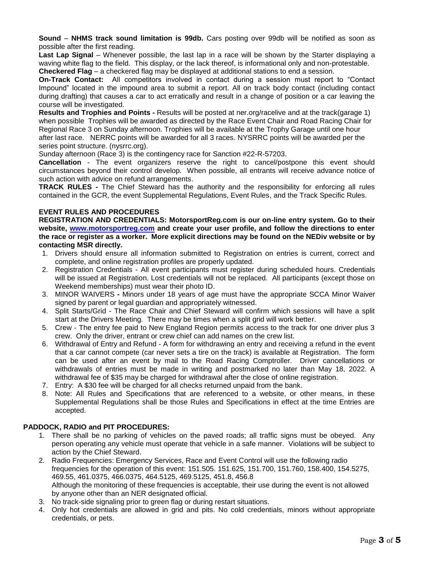**Sound** – **NHMS track sound limitation is 99db.** Cars posting over 99db will be notified as soon as possible after the first reading.

**Last Lap Signal** – Whenever possible, the last lap in a race will be shown by the Starter displaying a waving white flag to the field. This display, or the lack thereof, is informational only and non-protestable. **Checkered Flag** – a checkered flag may be displayed at additional stations to end a session.

**On-Track Contact:** All competitors involved in contact during a session must report to "Contact Impound" located in the impound area to submit a report. All on track body contact (including contact during drafting) that causes a car to act erratically and result in a change of position or a car leaving the course will be investigated.

**Results and Trophies and Points -** Results will be posted at ner.org/racelive and at the track(garage 1) when possible Trophies will be awarded as directed by the Race Event Chair and Road Racing Chair for Regional Race 3 on Sunday afternoon. Trophies will be available at the Trophy Garage until one hour after last race. NERRC points will be awarded for all 3 races. NYSRRC points will be awarded per the series point structure. (nysrrc.org).

Sunday afternoon (Race 3) is the contingency race for Sanction #22-R-57203.

**Cancellation** - The event organizers reserve the right to cancel/postpone this event should circumstances beyond their control develop. When possible, all entrants will receive advance notice of such action with advice on refund arrangements.

**TRACK RULES -** The Chief Steward has the authority and the responsibility for enforcing all rules contained in the GCR, the event Supplemental Regulations, Event Rules, and the Track Specific Rules.

#### **EVENT RULES AND PROCEDURES**

**REGISTRATION AND CREDENTIALS: MotorsportReg.com is our on-line entry system. Go to their website, [www.motorsportreg.com](http://www.motorsportreg.com/) and create your user profile, and follow the directions to enter the race or register as a worker. More explicit directions may be found on the NEDiv website or by contacting MSR directly.**

- 1. Drivers should ensure all information submitted to Registration on entries is current, correct and complete, and online registration profiles are properly updated.
- 2. Registration Credentials All event participants must register during scheduled hours. Credentials will be issued at Registration. Lost credentials will not be replaced. All participants (except those on Weekend memberships) must wear their photo ID.
- 3. MINOR WAIVERS **-** Minors under 18 years of age must have the appropriate SCCA Minor Waiver signed by parent or legal guardian and appropriately witnessed.
- 4. Split Starts/Grid The Race Chair and Chief Steward will confirm which sessions will have a split start at the Drivers Meeting. There may be times when a split grid will work better.
- 5. Crew The entry fee paid to New England Region permits access to the track for one driver plus 3 crew. Only the driver, entrant or crew chief can add names on the crew list.
- 6. Withdrawal of Entry and Refund A form for withdrawing an entry and receiving a refund in the event that a car cannot compete (car never sets a tire on the track) is available at Registration. The form can be used after an event by mail to the Road Racing Comptroller. Driver cancellations or withdrawals of entries must be made in writing and postmarked no later than May 18, 2022. A withdrawal fee of \$35 may be charged for withdrawal after the close of online registration.
- 7. Entry: A \$30 fee will be charged for all checks returned unpaid from the bank.
- 8. Note: All Rules and Specifications that are referenced to a website, or other means, in these Supplemental Regulations shall be those Rules and Specifications in effect at the time Entries are accepted.

#### **PADDOCK, RADIO and PIT PROCEDURES:**

- 1. There shall be no parking of vehicles on the paved roads; all traffic signs must be obeyed. Any person operating any vehicle must operate that vehicle in a safe manner. Violations will be subject to action by the Chief Steward.
- 2. Radio Frequencies: Emergency Services, Race and Event Control will use the following radio frequencies for the operation of this event: 151.505. 151.625, 151.700, 151.760, 158.400, 154.5275, 469.55, 461.0375, 466.0375, 464.5125, 469.5125, 451.8, 456.8 Although the monitoring of these frequencies is acceptable, their use during the event is not allowed by anyone other than an NER designated official.
- 3. No track-side signaling prior to green flag or during restart situations.
- 4. Only hot credentials are allowed in grid and pits. No cold credentials, minors without appropriate credentials, or pets.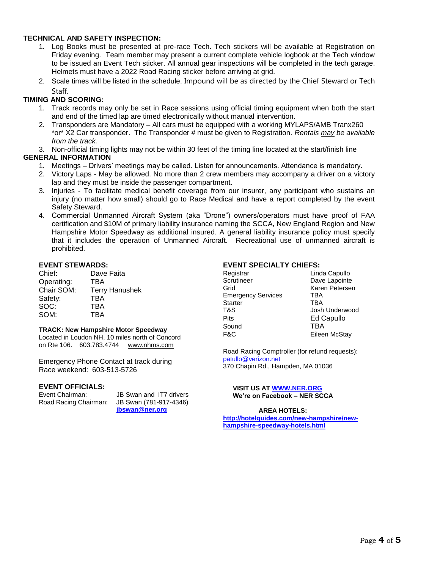#### **TECHNICAL AND SAFETY INSPECTION:**

- 1. Log Books must be presented at pre-race Tech. Tech stickers will be available at Registration on Friday evening. Team member may present a current complete vehicle logbook at the Tech window to be issued an Event Tech sticker. All annual gear inspections will be completed in the tech garage. Helmets must have a 2022 Road Racing sticker before arriving at grid.
- 2. Scale times will be listed in the schedule. Impound will be as directed by the Chief Steward or Tech Staff.

#### **TIMING AND SCORING:**

- 1. Track records may only be set in Race sessions using official timing equipment when both the start and end of the timed lap are timed electronically without manual intervention.
- 2. Transponders are Mandatory All cars must be equipped with a working MYLAPS/AMB Tranx260 \*or\* X2 Car transponder. The Transponder # must be given to Registration. *Rentals may be available from the track.*
- 3. Non-official timing lights may not be within 30 feet of the timing line located at the start/finish line

#### **GENERAL INFORMATION**

- 1. Meetings Drivers' meetings may be called. Listen for announcements. Attendance is mandatory.
- 2. Victory Laps May be allowed. No more than 2 crew members may accompany a driver on a victory lap and they must be inside the passenger compartment.
- 3. Injuries To facilitate medical benefit coverage from our insurer, any participant who sustains an injury (no matter how small) should go to Race Medical and have a report completed by the event Safety Steward.
- 4. Commercial Unmanned Aircraft System (aka "Drone") owners/operators must have proof of FAA certification and \$10M of primary liability insurance naming the SCCA, New England Region and New Hampshire Motor Speedway as additional insured. A general liability insurance policy must specify that it includes the operation of Unmanned Aircraft. Recreational use of unmanned aircraft is prohibited.

#### **EVENT STEWARDS:**

| Chief:     | Dave Faita            |
|------------|-----------------------|
| Operating: | TBA                   |
| Chair SOM: | <b>Terry Hanushek</b> |
| Safety:    | <b>TBA</b>            |
| SOC:       | TBA                   |
| SOM:       | TRA                   |

#### **TRACK: New Hampshire Motor Speedway**

Located in Loudon NH, 10 miles north of Concord on Rte 106. 603.783.4744 [www.nhms.com](about:blank)

Emergency Phone Contact at track during Race weekend: 603-513-5726

# **EVENT OFFICIALS:**<br>Event Chairman:

Road Racing Chairman:

JB Swan and IT7 drivers<br>JB Swan (781-917-4346) **[jbswan@ner.org](about:blank)**

#### **EVENT SPECIALTY CHIEFS:**

| Registrar                 | Linda Capullo  |
|---------------------------|----------------|
| Scrutineer                | Dave Lapointe  |
| Grid                      | Karen Petersen |
| <b>Emergency Services</b> | TBA            |
| <b>Starter</b>            | <b>TBA</b>     |
| T&S                       | Josh Underwood |
| Pits                      | Ed Capullo     |
| Sound                     | TBA            |
| F&C                       | Eileen McStay  |

Road Racing Comptroller (for refund requests): [patullo@verizon.net](mailto:patullo@verizon.net) 370 Chapin Rd., Hampden, MA 01036

**VISIT US AT [WWW.NER.ORG](http://www.ner.org/) We're on Facebook – NER SCCA**

#### **AREA HOTELS:**

**[http://hotelguides.com/new-hampshire/new](http://hotelguides.com/new-hampshire/new-hampshire-speedway-hotels.html)[hampshire-speedway-hotels.html](http://hotelguides.com/new-hampshire/new-hampshire-speedway-hotels.html)**